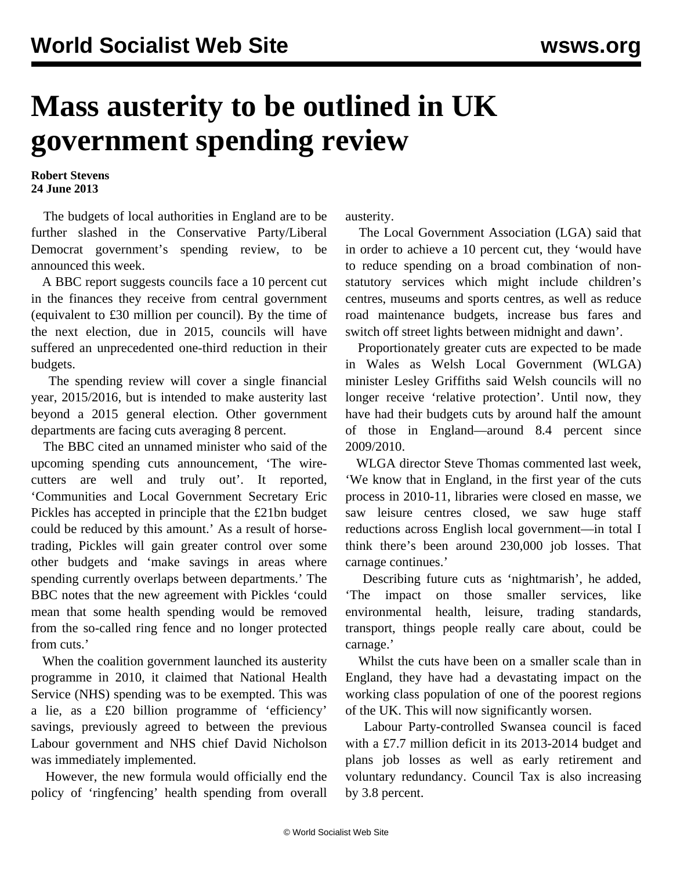## **Mass austerity to be outlined in UK government spending review**

**Robert Stevens 24 June 2013**

 The budgets of local authorities in England are to be further slashed in the Conservative Party/Liberal Democrat government's spending review, to be announced this week.

 A BBC report suggests councils face a 10 percent cut in the finances they receive from central government (equivalent to £30 million per council). By the time of the next election, due in 2015, councils will have suffered an unprecedented one-third reduction in their budgets.

 The spending review will cover a single financial year, 2015/2016, but is intended to make austerity last beyond a 2015 general election. Other government departments are facing cuts averaging 8 percent.

 The BBC cited an unnamed minister who said of the upcoming spending cuts announcement, 'The wirecutters are well and truly out'. It reported, 'Communities and Local Government Secretary Eric Pickles has accepted in principle that the £21bn budget could be reduced by this amount.' As a result of horsetrading, Pickles will gain greater control over some other budgets and 'make savings in areas where spending currently overlaps between departments.' The BBC notes that the new agreement with Pickles 'could mean that some health spending would be removed from the so-called ring fence and no longer protected from cuts.'

 When the coalition government launched its austerity programme in 2010, it claimed that National Health Service (NHS) spending was to be exempted. This was a lie, as a £20 billion programme of 'efficiency' savings, previously agreed to between the previous Labour government and NHS chief David Nicholson was immediately implemented.

 However, the new formula would officially end the policy of 'ringfencing' health spending from overall austerity.

 The Local Government Association (LGA) said that in order to achieve a 10 percent cut, they 'would have to reduce spending on a broad combination of nonstatutory services which might include children's centres, museums and sports centres, as well as reduce road maintenance budgets, increase bus fares and switch off street lights between midnight and dawn'.

 Proportionately greater cuts are expected to be made in Wales as Welsh Local Government (WLGA) minister Lesley Griffiths said Welsh councils will no longer receive 'relative protection'. Until now, they have had their budgets cuts by around half the amount of those in England—around 8.4 percent since 2009/2010.

 WLGA director Steve Thomas commented last week, 'We know that in England, in the first year of the cuts process in 2010-11, libraries were closed en masse, we saw leisure centres closed, we saw huge staff reductions across English local government—in total I think there's been around 230,000 job losses. That carnage continues.'

 Describing future cuts as 'nightmarish', he added, 'The impact on those smaller services, like environmental health, leisure, trading standards, transport, things people really care about, could be carnage.'

 Whilst the cuts have been on a smaller scale than in England, they have had a devastating impact on the working class population of one of the poorest regions of the UK. This will now significantly worsen.

 Labour Party-controlled Swansea council is faced with a £7.7 million deficit in its 2013-2014 budget and plans job losses as well as early retirement and voluntary redundancy. Council Tax is also increasing by 3.8 percent.